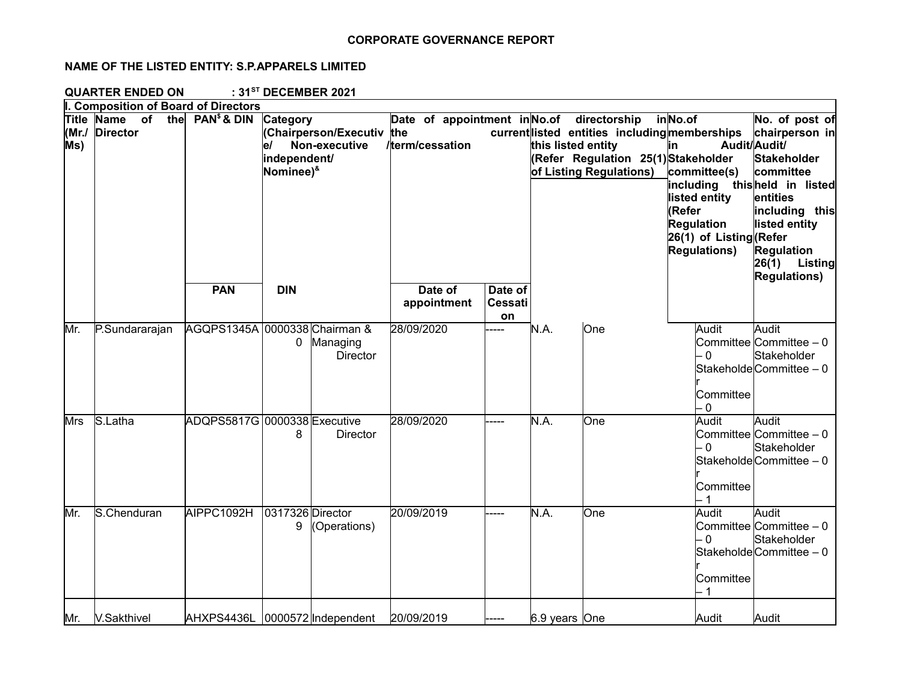## **CORPORATE GOVERNANCE REPORT**

## **NAME OF THE LISTED ENTITY: S.P.APPARELS LIMITED**

**QUARTER ENDED ON : 31ST DECEMBER 2021**

|              | I. Composition of Board of Directors       |              |                                                                                                            |                                                 |                                 |                    |                                                                                                                                |                                                                                                                                                                   |                                                                                                                                                                                                 |
|--------------|--------------------------------------------|--------------|------------------------------------------------------------------------------------------------------------|-------------------------------------------------|---------------------------------|--------------------|--------------------------------------------------------------------------------------------------------------------------------|-------------------------------------------------------------------------------------------------------------------------------------------------------------------|-------------------------------------------------------------------------------------------------------------------------------------------------------------------------------------------------|
| (MrJ)<br>MS) | Title Name<br>of<br>the<br><b>Director</b> | $PAN§$ & DIN | Category<br>(Chairperson/Executiv the<br>Non-executive<br>le/<br>independent/<br>Nominee) <sup>&amp;</sup> | Date of appointment in No.of<br>/term/cessation |                                 | this listed entity | directorship<br>current listed entities including memberships<br>(Refer Regulation 25(1)Stakeholder<br>of Listing Regulations) | inNo.of<br>lin.<br>committee(s)<br>including thisheld in listed<br>listed entity<br>(Refer<br><b>Regulation</b><br>26(1) of Listing (Refer<br><b>Regulations)</b> | No. of post of<br>chairperson in<br>Audit/Audit/<br><b>Stakeholder</b><br>committee<br>entities<br>including this<br>listed entity<br><b>Regulation</b><br>26(1) Listing<br><b>Regulations)</b> |
|              |                                            | <b>PAN</b>   | <b>DIN</b>                                                                                                 | Date of<br>appointment                          | Date of<br><b>Cessati</b><br>on |                    |                                                                                                                                |                                                                                                                                                                   |                                                                                                                                                                                                 |
| Mr.          | P.Sundararajan                             |              | AGQPS1345A 0000338 Chairman &<br>0 Managing<br><b>Director</b>                                             | 28/09/2020                                      | $---$                           | N.A.               | One                                                                                                                            | Audit<br>- 0<br>Committee<br>$\overline{0}$                                                                                                                       | Audit<br>Committee Committee - 0<br>Stakeholder<br>StakeholdeCommittee - 0                                                                                                                      |
| <b>Mrs</b>   | S.Latha                                    |              | ADQPS5817G 0000338 Executive<br>8<br><b>Director</b>                                                       | 28/09/2020                                      |                                 | N.A.               | One                                                                                                                            | Audit<br>$\overline{0}$<br>Committee                                                                                                                              | Audit<br>Committee Committee - 0<br>Stakeholder<br>StakeholdeCommittee - 0                                                                                                                      |
| Mr.          | S.Chenduran                                | AIPPC1092H   | 0317326 Director<br>9<br>(Operations)                                                                      | 20/09/2019                                      |                                 | N.A.               | One                                                                                                                            | Audit<br>- 0<br>Committee                                                                                                                                         | Audit<br>Committee Committee - 0<br>Stakeholder<br>StakeholdeCommittee - 0                                                                                                                      |
| Mr.          | V.Sakthivel                                |              | AHXPS4436L 0000572 Independent                                                                             | 20/09/2019                                      |                                 | 6.9 years One      |                                                                                                                                | Audit                                                                                                                                                             | Audit                                                                                                                                                                                           |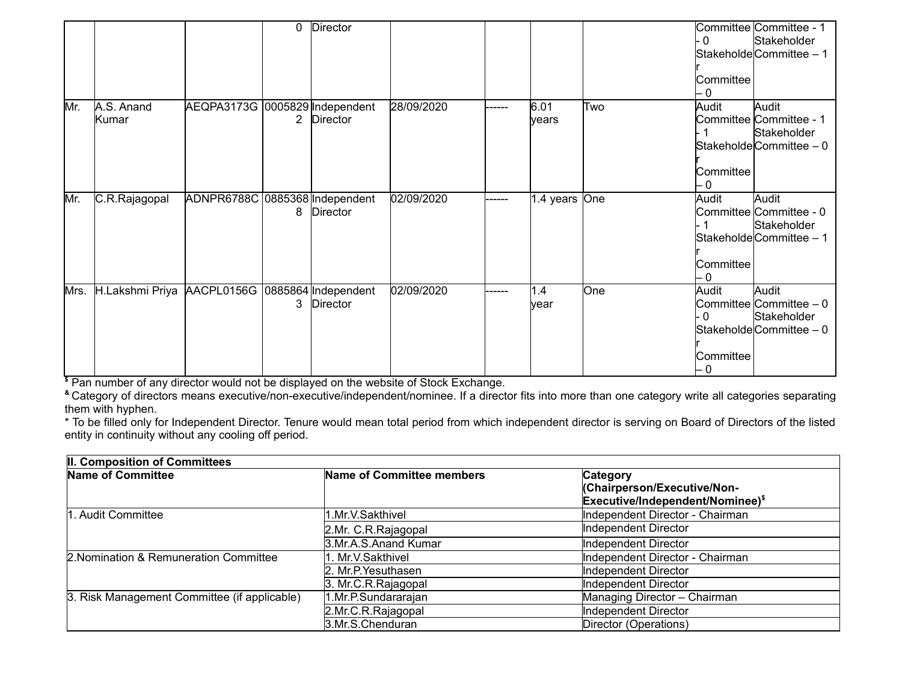|      |                                                |                                | 0 Director |            |        |                |     | $\overline{0}$<br>Committee<br>- 0 | Committee Committee - 1<br>Stakeholder<br>StakeholdeCommittee - 1          |
|------|------------------------------------------------|--------------------------------|------------|------------|--------|----------------|-----|------------------------------------|----------------------------------------------------------------------------|
| Mr.  | A.S. Anand<br>Kumar                            | AEQPA3173G 0005829 Independent | 2 Director | 28/09/2020 | ------ | 6.01<br>lyears | Two | Audit<br>Committee<br>- 0          | Audit<br>Committee Committee - 1<br>Stakeholder<br>StakeholdeCommittee - 0 |
| Mr.  | C.R.Rajagopal                                  | ADNPR6788C 0885368 Independent | 8 Director | 02/09/2020 |        | 1.4 years One  |     | Audit<br>Committee<br>- 0          | Audit<br>Committee Committee - 0<br>Stakeholder<br>StakeholdeCommittee - 1 |
| Mrs. | H.Lakshmi Priya AACPL0156G 0885864 Independent |                                | 3 Director | 02/09/2020 | -----  | 1.4<br>year    | One | Audit<br>- 0<br>Committee<br>- 0   | Audit<br>Committee Committee - 0<br>Stakeholder<br>StakeholdeCommittee - 0 |

**\$** Pan number of any director would not be displayed on the website of Stock Exchange.

**&** Category of directors means executive/non-executive/independent/nominee. If a director fits into more than one category write all categories separating them with hyphen.

\* To be filled only for Independent Director. Tenure would mean total period from which independent director is serving on Board of Directors of the listed entity in continuity without any cooling off period.

| II. Composition of Committees                |                           |                                              |  |  |  |
|----------------------------------------------|---------------------------|----------------------------------------------|--|--|--|
| Name of Committee                            | Name of Committee members | Category                                     |  |  |  |
|                                              |                           | (Chairperson/Executive/Non-                  |  |  |  |
|                                              |                           | Executive/Independent/Nominee) <sup>\$</sup> |  |  |  |
| 1. Audit Committee                           | 1.Mr.V.Sakthivel          | Independent Director - Chairman              |  |  |  |
|                                              | 2.Mr. C.R.Rajagopal       | Independent Director                         |  |  |  |
|                                              | 3.Mr.A.S.Anand Kumar      | Independent Director                         |  |  |  |
| 2. Nomination & Remuneration Committee       | l1. Mr.V.Sakthivel        | Independent Director - Chairman              |  |  |  |
|                                              | 2. Mr.P. Yesuthasen       | Independent Director                         |  |  |  |
|                                              | 3. Mr.C.R.Rajagopal       | Independent Director                         |  |  |  |
| 3. Risk Management Committee (if applicable) | 1.Mr.P.Sundararajan       | Managing Director - Chairman                 |  |  |  |
|                                              | 2.Mr.C.R.Rajaqopal        | Independent Director                         |  |  |  |
|                                              | 3.Mr.S.Chenduran          | Director (Operations)                        |  |  |  |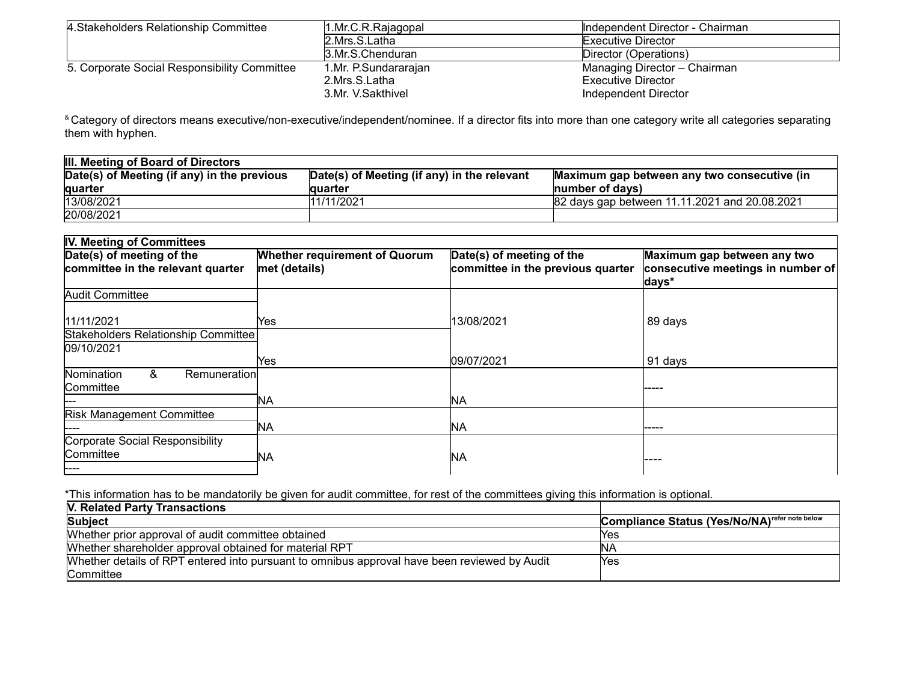| 4. Stakeholders Relationship Committee       | 1.Mr.C.R.Rajaqopal   | Independent Director - Chairman |
|----------------------------------------------|----------------------|---------------------------------|
|                                              | 2.Mrs.S.Latha        | Executive Director              |
|                                              | 3.Mr.S.Chenduran     | Director (Operations)           |
| 5. Corporate Social Responsibility Committee | 1.Mr. P.Sundararajan | Managing Director - Chairman    |
|                                              | 2.Mrs.S.Latha        | <b>Executive Director</b>       |
|                                              | 3.Mr. V.Sakthivel    | Independent Director            |

<sup>&</sup> Category of directors means executive/non-executive/independent/nominee. If a director fits into more than one category write all categories separating them with hyphen.

| <b>III. Meeting of Board of Directors</b>   |                                             |                                               |  |  |  |  |
|---------------------------------------------|---------------------------------------------|-----------------------------------------------|--|--|--|--|
| Date(s) of Meeting (if any) in the previous | Date(s) of Meeting (if any) in the relevant | Maximum gap between any two consecutive (in   |  |  |  |  |
| <b>quarter</b>                              | lauarter                                    | Inumber of days)                              |  |  |  |  |
| 13/08/2021                                  | 11/11/2021                                  | 82 days gap between 11.11.2021 and 20.08.2021 |  |  |  |  |
| 20/08/2021                                  |                                             |                                               |  |  |  |  |

| <b>IV. Meeting of Committees</b>                                |                                                       |                                                                |                                                                           |  |
|-----------------------------------------------------------------|-------------------------------------------------------|----------------------------------------------------------------|---------------------------------------------------------------------------|--|
| Date(s) of meeting of the<br>committee in the relevant quarter  | <b>Whether requirement of Quorum</b><br>met (details) | Date(s) of meeting of the<br>committee in the previous quarter | Maximum gap between any two<br>consecutive meetings in number of<br>days* |  |
| <b>Audit Committee</b>                                          |                                                       |                                                                |                                                                           |  |
| 11/11/2021<br>Stakeholders Relationship Committee<br>09/10/2021 | Yes                                                   | 13/08/2021                                                     | 89 days                                                                   |  |
|                                                                 | Yes                                                   | 09/07/2021                                                     | 91 days                                                                   |  |
| &<br>Nomination<br>Remuneration<br>Committee                    |                                                       |                                                                |                                                                           |  |
|                                                                 | <b>NA</b>                                             | ΝA                                                             |                                                                           |  |
| <b>Risk Management Committee</b>                                | NА                                                    | <b>NA</b>                                                      | -----                                                                     |  |
| Corporate Social Responsibility<br>Committee<br>----            | ΝA                                                    | NΑ                                                             |                                                                           |  |

\*This information has to be mandatorily be given for audit committee, for rest of the committees giving this information is optional.

| V. Related Party Transactions                                                                |                                                           |
|----------------------------------------------------------------------------------------------|-----------------------------------------------------------|
| Subject                                                                                      | Compliance Status (Yes/No/NA) <sup>refer note below</sup> |
| Whether prior approval of audit committee obtained                                           | lYes                                                      |
| Whether shareholder approval obtained for material RPT                                       | INA                                                       |
| Whether details of RPT entered into pursuant to omnibus approval have been reviewed by Audit | lYes                                                      |
| <b>Committee</b>                                                                             |                                                           |